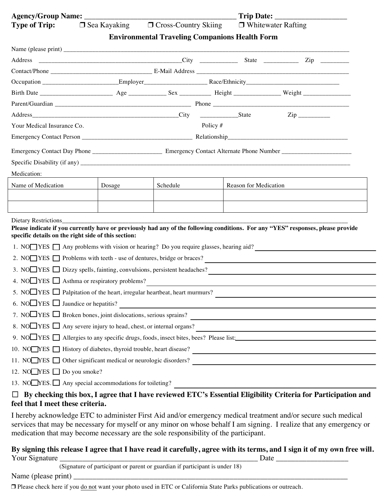| <b>Type of Trip:</b>                           |                                                                                       | $\Box$ Sea Kayaking $\Box$ Cross-Country Skiing $\Box$ Whitewater Rafting |                       |                                                                                                                                  |  |  |
|------------------------------------------------|---------------------------------------------------------------------------------------|---------------------------------------------------------------------------|-----------------------|----------------------------------------------------------------------------------------------------------------------------------|--|--|
|                                                |                                                                                       | <b>Environmental Traveling Companions Health Form</b>                     |                       |                                                                                                                                  |  |  |
|                                                |                                                                                       |                                                                           |                       |                                                                                                                                  |  |  |
|                                                |                                                                                       |                                                                           |                       |                                                                                                                                  |  |  |
|                                                |                                                                                       |                                                                           |                       |                                                                                                                                  |  |  |
|                                                |                                                                                       |                                                                           |                       |                                                                                                                                  |  |  |
|                                                |                                                                                       |                                                                           |                       |                                                                                                                                  |  |  |
|                                                |                                                                                       |                                                                           |                       |                                                                                                                                  |  |  |
|                                                |                                                                                       |                                                                           |                       | $\mathsf{Zip}\_\_$                                                                                                               |  |  |
|                                                | Policy $#$<br>Your Medical Insurance Co.                                              |                                                                           |                       |                                                                                                                                  |  |  |
|                                                |                                                                                       |                                                                           |                       |                                                                                                                                  |  |  |
|                                                |                                                                                       |                                                                           |                       |                                                                                                                                  |  |  |
|                                                |                                                                                       |                                                                           |                       |                                                                                                                                  |  |  |
| Medication:                                    |                                                                                       |                                                                           |                       |                                                                                                                                  |  |  |
| Name of Medication                             | Dosage                                                                                | Schedule                                                                  | Reason for Medication |                                                                                                                                  |  |  |
|                                                |                                                                                       |                                                                           |                       |                                                                                                                                  |  |  |
|                                                |                                                                                       |                                                                           |                       |                                                                                                                                  |  |  |
|                                                |                                                                                       |                                                                           |                       |                                                                                                                                  |  |  |
|                                                |                                                                                       |                                                                           |                       | Please indicate if you currently have or previously had any of the following conditions. For any "YES" responses, please provide |  |  |
|                                                | specific details on the right side of this section:                                   |                                                                           |                       |                                                                                                                                  |  |  |
|                                                | 1. NO YES Any problems with vision or hearing? Do you require glasses, hearing aid?   |                                                                           |                       |                                                                                                                                  |  |  |
|                                                |                                                                                       |                                                                           |                       | 2. NO $\Box$ YES $\Box$ Problems with teeth - use of dentures, bridge or braces?                                                 |  |  |
|                                                | 3. NO $\Box$ YES $\Box$ Dizzy spells, fainting, convulsions, persistent headaches?    |                                                                           |                       |                                                                                                                                  |  |  |
|                                                | 4. NO $\Box$ YES $\Box$ Asthma or respiratory problems?                               |                                                                           |                       |                                                                                                                                  |  |  |
|                                                | 5. NO $\Box$ YES $\Box$ Palpitation of the heart, irregular heartbeat, heart murmurs? |                                                                           |                       |                                                                                                                                  |  |  |
| 6. NO $\Box$ YES $\Box$ Jaundice or hepatitis? |                                                                                       |                                                                           |                       |                                                                                                                                  |  |  |
|                                                |                                                                                       |                                                                           |                       |                                                                                                                                  |  |  |
|                                                |                                                                                       |                                                                           |                       | 8. NO $\Box$ YES $\Box$ Any severe injury to head, chest, or internal organs?                                                    |  |  |
|                                                |                                                                                       |                                                                           |                       | 9. NO YES Allergies to any specific drugs, foods, insect bites, bees? Please list:                                               |  |  |
|                                                |                                                                                       |                                                                           |                       | 10. NO YES THistory of diabetes, thyroid trouble, heart disease?                                                                 |  |  |
|                                                |                                                                                       |                                                                           |                       | 11. NO YES Other significant medical or neurologic disorders?                                                                    |  |  |
| 12. NO $\Box$ YES $\Box$ Do you smoke?         |                                                                                       |                                                                           |                       |                                                                                                                                  |  |  |
|                                                | 13. NO $NES.\Box$ Any special accommodations for toileting?                           |                                                                           |                       |                                                                                                                                  |  |  |
|                                                |                                                                                       |                                                                           |                       | By checking this box, I agree that I have reviewed ETC's Essential Eligibility Criteria for Participation and                    |  |  |
| feel that I meet these criteria.               |                                                                                       |                                                                           |                       |                                                                                                                                  |  |  |

I hereby acknowledge ETC to administer First Aid and/or emergency medical treatment and/or secure such medical services that may be necessary for myself or any minor on whose behalf I am signing. I realize that any emergency or medication that may become necessary are the sole responsibility of the participant.

## **By signing this release I agree that I have read it carefully, agree with its terms, and I sign it of my own free will.**  Your Signature \_\_\_\_\_\_\_\_\_\_\_\_\_\_\_\_\_\_\_\_\_\_\_\_\_\_\_\_\_\_\_\_\_\_\_\_\_\_\_\_\_\_\_\_\_\_\_\_\_\_\_\_ Date \_\_\_\_\_\_\_\_\_\_\_\_\_\_\_\_\_\_\_

(Signature of participant or parent or guardian if participant is under 18)

Name (please print)

❒ Please check here if you do not want your photo used in ETC or California State Parks publications or outreach.